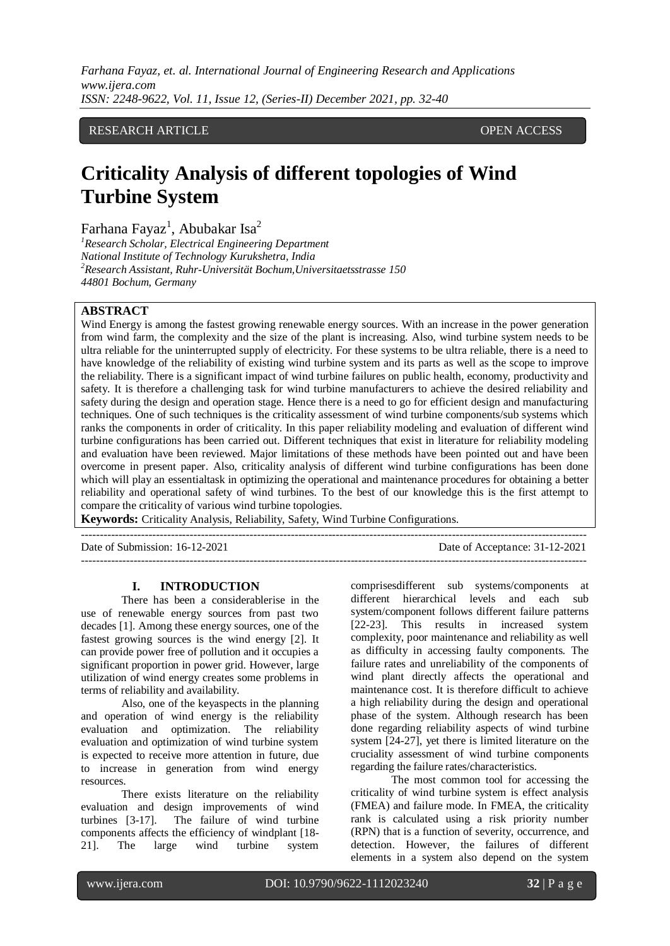# RESEARCH ARTICLE **CONSERVERS** OPEN ACCESS

# **Criticality Analysis of different topologies of Wind Turbine System**

Farhana Fayaz<sup>1</sup>, Abubakar Isa<sup>2</sup>

*<sup>1</sup>Research Scholar, Electrical Engineering Department National Institute of Technology Kurukshetra, India <sup>2</sup>Research Assistant, Ruhr-Universität Bochum,Universitaetsstrasse 150 44801 Bochum, Germany*

# **ABSTRACT**

Wind Energy is among the fastest growing renewable energy sources. With an increase in the power generation from wind farm, the complexity and the size of the plant is increasing. Also, wind turbine system needs to be ultra reliable for the uninterrupted supply of electricity. For these systems to be ultra reliable, there is a need to have knowledge of the reliability of existing wind turbine system and its parts as well as the scope to improve the reliability. There is a significant impact of wind turbine failures on public health, economy, productivity and safety. It is therefore a challenging task for wind turbine manufacturers to achieve the desired reliability and safety during the design and operation stage. Hence there is a need to go for efficient design and manufacturing techniques. One of such techniques is the criticality assessment of wind turbine components/sub systems which ranks the components in order of criticality. In this paper reliability modeling and evaluation of different wind turbine configurations has been carried out. Different techniques that exist in literature for reliability modeling and evaluation have been reviewed. Major limitations of these methods have been pointed out and have been overcome in present paper. Also, criticality analysis of different wind turbine configurations has been done which will play an essentialtask in optimizing the operational and maintenance procedures for obtaining a better reliability and operational safety of wind turbines. To the best of our knowledge this is the first attempt to compare the criticality of various wind turbine topologies.

**Keywords:** Criticality Analysis, Reliability, Safety, Wind Turbine Configurations.

| Date of Submission: 16-12-2021 | Date of Acceptance: 31-12-2021 |
|--------------------------------|--------------------------------|
|                                |                                |

#### **I. INTRODUCTION**

There has been a considerablerise in the use of renewable energy sources from past two decades [1]. Among these energy sources, one of the fastest growing sources is the wind energy [2]. It can provide power free of pollution and it occupies a significant proportion in power grid. However, large utilization of wind energy creates some problems in terms of reliability and availability.

Also, one of the keyaspects in the planning and operation of wind energy is the reliability evaluation and optimization. The reliability evaluation and optimization of wind turbine system is expected to receive more attention in future, due to increase in generation from wind energy resources.

There exists literature on the reliability evaluation and design improvements of wind turbines [3-17]. The failure of wind turbine components affects the efficiency of windplant [18- 21]. The large wind turbine system comprisesdifferent sub systems/components at different hierarchical levels and each sub system/component follows different failure patterns [22-23]. This results in increased system complexity, poor maintenance and reliability as well as difficulty in accessing faulty components. The failure rates and unreliability of the components of wind plant directly affects the operational and maintenance cost. It is therefore difficult to achieve a high reliability during the design and operational phase of the system. Although research has been done regarding reliability aspects of wind turbine system [24-27], yet there is limited literature on the cruciality assessment of wind turbine components regarding the failure rates/characteristics.

The most common tool for accessing the criticality of wind turbine system is effect analysis (FMEA) and failure mode. In FMEA, the criticality rank is calculated using a risk priority number (RPN) that is a function of severity, occurrence, and detection. However, the failures of different elements in a system also depend on the system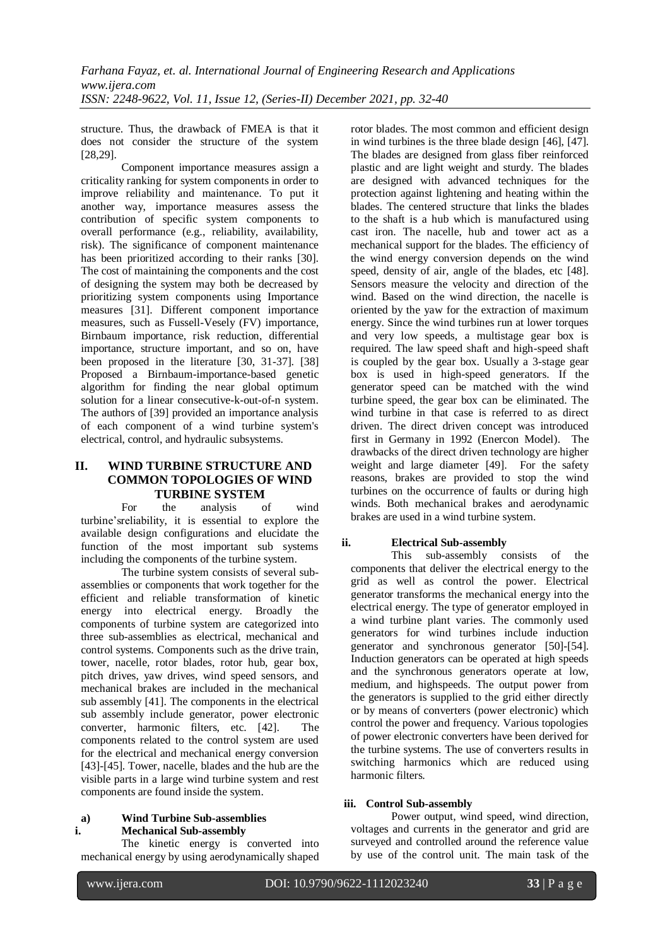structure. Thus, the drawback of FMEA is that it does not consider the structure of the system [28,29].

Component importance measures assign a criticality ranking for system components in order to improve reliability and maintenance. To put it another way, importance measures assess the contribution of specific system components to overall performance (e.g., reliability, availability, risk). The significance of component maintenance has been prioritized according to their ranks [30]. The cost of maintaining the components and the cost of designing the system may both be decreased by prioritizing system components using Importance measures [31]. Different component importance measures, such as Fussell-Vesely (FV) importance, Birnbaum importance, risk reduction, differential importance, structure important, and so on, have been proposed in the literature [30, 31-37]. [38] Proposed a Birnbaum-importance-based genetic algorithm for finding the near global optimum solution for a linear consecutive-k-out-of-n system. The authors of [39] provided an importance analysis of each component of a wind turbine system's electrical, control, and hydraulic subsystems.

# **II. WIND TURBINE STRUCTURE AND COMMON TOPOLOGIES OF WIND TURBINE SYSTEM**

For the analysis of wind turbine'sreliability, it is essential to explore the available design configurations and elucidate the function of the most important sub systems including the components of the turbine system.

The turbine system consists of several subassemblies or components that work together for the efficient and reliable transformation of kinetic energy into electrical energy. Broadly the components of turbine system are categorized into three sub-assemblies as electrical, mechanical and control systems. Components such as the drive train, tower, nacelle, rotor blades, rotor hub, gear box, pitch drives, yaw drives, wind speed sensors, and mechanical brakes are included in the mechanical sub assembly [41]. The components in the electrical sub assembly include generator, power electronic converter, harmonic filters, etc. [42]. The components related to the control system are used for the electrical and mechanical energy conversion [43]-[45]. Tower, nacelle, blades and the hub are the visible parts in a large wind turbine system and rest components are found inside the system.

# **a) Wind Turbine Sub-assemblies i. Mechanical Sub-assembly**

The kinetic energy is converted into mechanical energy by using aerodynamically shaped rotor blades. The most common and efficient design in wind turbines is the three blade design [46], [47]. The blades are designed from glass fiber reinforced plastic and are light weight and sturdy. The blades are designed with advanced techniques for the protection against lightening and heating within the blades. The centered structure that links the blades to the shaft is a hub which is manufactured using cast iron. The nacelle, hub and tower act as a mechanical support for the blades. The efficiency of the wind energy conversion depends on the wind speed, density of air, angle of the blades, etc [48]. Sensors measure the velocity and direction of the wind. Based on the wind direction, the nacelle is oriented by the yaw for the extraction of maximum energy. Since the wind turbines run at lower torques and very low speeds, a multistage gear box is required. The law speed shaft and high-speed shaft is coupled by the gear box. Usually a 3-stage gear box is used in high-speed generators. If the generator speed can be matched with the wind turbine speed, the gear box can be eliminated. The wind turbine in that case is referred to as direct driven. The direct driven concept was introduced first in Germany in 1992 (Enercon Model). The drawbacks of the direct driven technology are higher weight and large diameter [49]. For the safety reasons, brakes are provided to stop the wind turbines on the occurrence of faults or during high winds. Both mechanical brakes and aerodynamic brakes are used in a wind turbine system.

# **ii. Electrical Sub-assembly**

This sub-assembly consists of the components that deliver the electrical energy to the grid as well as control the power. Electrical generator transforms the mechanical energy into the electrical energy. The type of generator employed in a wind turbine plant varies. The commonly used generators for wind turbines include induction generator and synchronous generator [50]-[54]. Induction generators can be operated at high speeds and the synchronous generators operate at low, medium, and highspeeds. The output power from the generators is supplied to the grid either directly or by means of converters (power electronic) which control the power and frequency. Various topologies of power electronic converters have been derived for the turbine systems. The use of converters results in switching harmonics which are reduced using harmonic filters.

# **iii. Control Sub-assembly**

Power output, wind speed, wind direction, voltages and currents in the generator and grid are surveyed and controlled around the reference value by use of the control unit. The main task of the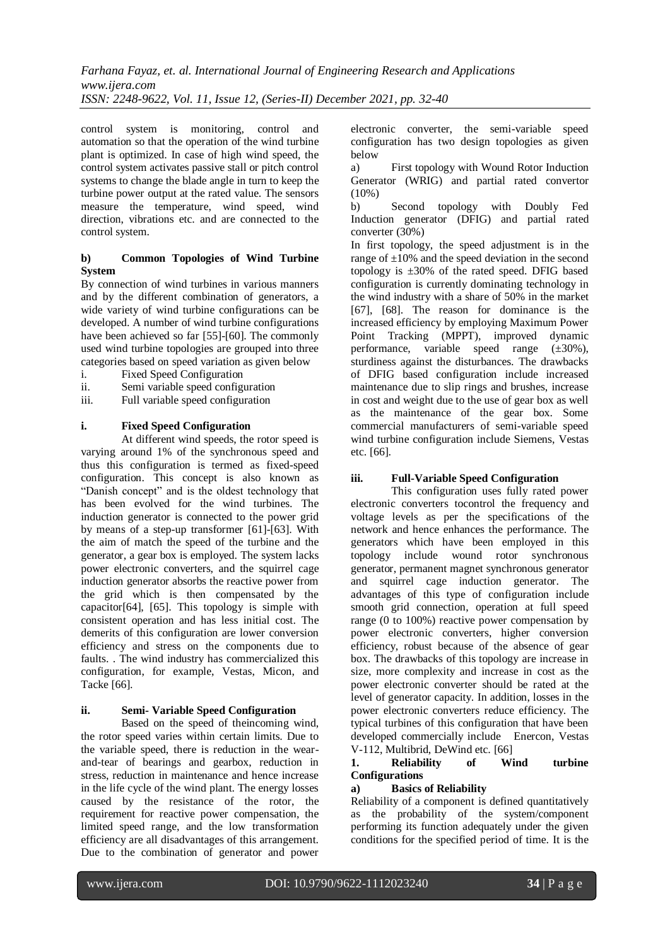control system is monitoring, control and automation so that the operation of the wind turbine plant is optimized. In case of high wind speed, the control system activates passive stall or pitch control systems to change the blade angle in turn to keep the turbine power output at the rated value. The sensors measure the temperature, wind speed, wind direction, vibrations etc. and are connected to the control system.

## **b) Common Topologies of Wind Turbine System**

By connection of wind turbines in various manners and by the different combination of generators, a wide variety of wind turbine configurations can be developed. A number of wind turbine configurations have been achieved so far [55]-[60]. The commonly used wind turbine topologies are grouped into three categories based on speed variation as given below

- i. Fixed Speed Configuration
- ii. Semi variable speed configuration<br>iii. Full variable speed configuration
- Full variable speed configuration

## **i. Fixed Speed Configuration**

At different wind speeds, the rotor speed is varying around 1% of the synchronous speed and thus this configuration is termed as fixed-speed configuration. This concept is also known as "Danish concept" and is the oldest technology that has been evolved for the wind turbines. The induction generator is connected to the power grid by means of a step-up transformer [61]-[63]. With the aim of match the speed of the turbine and the generator, a gear box is employed. The system lacks power electronic converters, and the squirrel cage induction generator absorbs the reactive power from the grid which is then compensated by the capacitor[64], [65]. This topology is simple with consistent operation and has less initial cost. The demerits of this configuration are lower conversion efficiency and stress on the components due to faults. . The wind industry has commercialized this configuration, for example, Vestas, Micon, and Tacke [66].

## **ii. Semi- Variable Speed Configuration**

Based on the speed of theincoming wind, the rotor speed varies within certain limits. Due to the variable speed, there is reduction in the wearand-tear of bearings and gearbox, reduction in stress, reduction in maintenance and hence increase in the life cycle of the wind plant. The energy losses caused by the resistance of the rotor, the requirement for reactive power compensation, the limited speed range, and the low transformation efficiency are all disadvantages of this arrangement. Due to the combination of generator and power electronic converter, the semi-variable speed configuration has two design topologies as given below

a) First topology with Wound Rotor Induction Generator (WRIG) and partial rated convertor  $(10\%)$ 

b) Second topology with Doubly Fed Induction generator (DFIG) and partial rated converter (30%)

In first topology, the speed adjustment is in the range of  $\pm 10\%$  and the speed deviation in the second topology is  $\pm 30\%$  of the rated speed. DFIG based configuration is currently dominating technology in the wind industry with a share of 50% in the market [67], [68]. The reason for dominance is the increased efficiency by employing Maximum Power Point Tracking (MPPT), improved dynamic performance, variable speed range (±30%), sturdiness against the disturbances. The drawbacks of DFIG based configuration include increased maintenance due to slip rings and brushes, increase in cost and weight due to the use of gear box as well as the maintenance of the gear box. Some commercial manufacturers of semi-variable speed wind turbine configuration include Siemens, Vestas etc. [66].

#### **iii. Full-Variable Speed Configuration**

This configuration uses fully rated power electronic converters tocontrol the frequency and voltage levels as per the specifications of the network and hence enhances the performance. The generators which have been employed in this topology include wound rotor synchronous generator, permanent magnet synchronous generator and squirrel cage induction generator. The advantages of this type of configuration include smooth grid connection, operation at full speed range (0 to 100%) reactive power compensation by power electronic converters, higher conversion efficiency, robust because of the absence of gear box. The drawbacks of this topology are increase in size, more complexity and increase in cost as the power electronic converter should be rated at the level of generator capacity. In addition, losses in the power electronic converters reduce efficiency. The typical turbines of this configuration that have been developed commercially include Enercon, Vestas V-112, Multibrid, DeWind etc. [66]

# **1. Reliability of Wind turbine Configurations**

#### **a) Basics of Reliability**

Reliability of a component is defined quantitatively as the probability of the system/component performing its function adequately under the given conditions for the specified period of time. It is the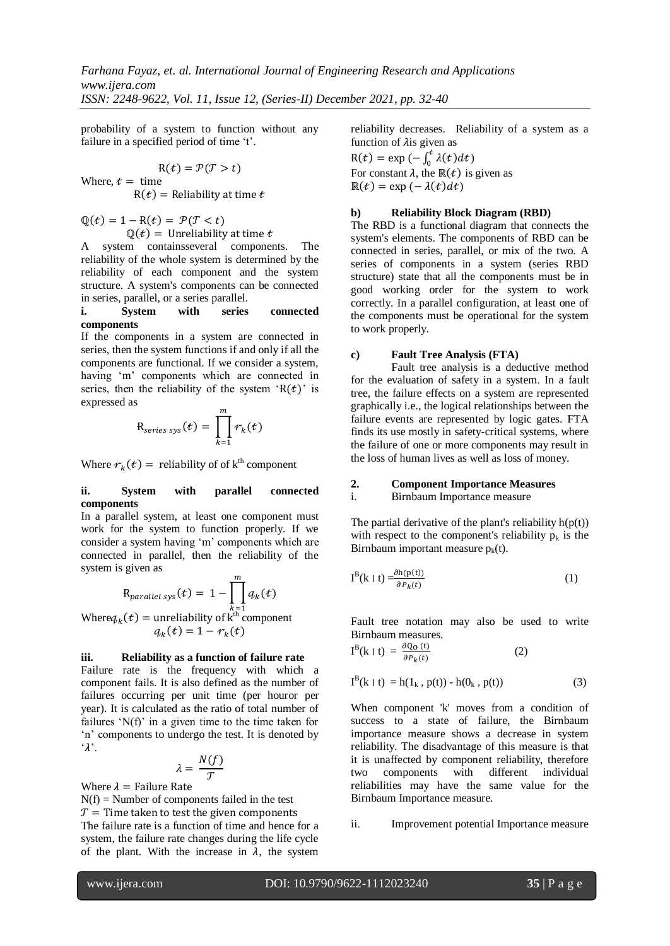probability of a system to function without any failure in a specified period of time 't'.

$$
R(t) = P(T > t)
$$
  
Where,  $t =$  time  

$$
R(t) =
$$
 Reliability at time t

 $\mathbb{Q}(t) = 1 - R(t) = \mathcal{P}(T < t)$  $\mathbb{O}(t) =$  Unreliability at time t

A system containsseveral components. The reliability of the whole system is determined by the reliability of each component and the system structure. A system's components can be connected in series, parallel, or a series parallel.

#### **i. System with series connected components**

If the components in a system are connected in series, then the system functions if and only if all the components are functional. If we consider a system, having 'm' components which are connected in series, then the reliability of the system ' $R(t)$ ' is expressed as

$$
R_{series\,sys}(t) = \prod_{k=1}^{m} r_k(t)
$$

Where  $r_k(t)$  = reliability of of k<sup>th</sup> component

## **ii. System with parallel connected components**

In a parallel system, at least one component must work for the system to function properly. If we consider a system having 'm' components which are connected in parallel, then the reliability of the system is given as

$$
R_{parallel\,sys}(t) = 1 - \prod_{k=1}^{m} q_k(t)
$$

Where  $q_k(t)$  = unreliability of  $k^{\text{th}}$  component  $q_k(t) = 1 - r_k$ 

# **iii. Reliability as a function of failure rate**

Failure rate is the frequency with which a component fails. It is also defined as the number of failures occurring per unit time (per houror per year). It is calculated as the ratio of total number of failures ' $N(f)$ ' in a given time to the time taken for 'n' components to undergo the test. It is denoted by  $\lambda$ .

$$
\lambda = \frac{N(f)}{T}
$$

Where  $\lambda$  = Failure Rate

 $N(f) =$  Number of components failed in the test  $T =$  Time taken to test the given components The failure rate is a function of time and hence for a system, the failure rate changes during the life cycle of the plant. With the increase in  $\lambda$ , the system

reliability decreases. Reliability of a system as a function of  $\lambda$  is given as

 $R(t) = \exp(-\int_0^t \lambda(t)dt)$ For constant  $\lambda$ , the  $\mathbb{R}(t)$  is given as  $\mathbb{R}(t) = \exp(-\lambda(t)dt)$ 

# **b) Reliability Block Diagram (RBD)**

The RBD is a functional diagram that connects the system's elements. The components of RBD can be connected in series, parallel, or mix of the two. A series of components in a system (series RBD structure) state that all the components must be in good working order for the system to work correctly. In a parallel configuration, at least one of the components must be operational for the system to work properly.

# **c) Fault Tree Analysis (FTA)**

Fault tree analysis is a deductive method for the evaluation of safety in a system. In a fault tree, the failure effects on a system are represented graphically i.e., the logical relationships between the failure events are represented by logic gates. FTA finds its use mostly in safety-critical systems, where the failure of one or more components may result in the loss of human lives as well as loss of money.

# **2. Component Importance Measures**

# i. Birnbaum Importance measure

The partial derivative of the plant's reliability  $h(p(t))$ with respect to the component's reliability  $p_k$  is the Birnbaum important measure  $p_k(t)$ .

$$
I^{B}(k \mid t) = \frac{\partial h(p(t))}{\partial P_{k}(t)}
$$
\n(1)

Fault tree notation may also be used to write Birnbaum measures.

$$
I^{B}(k \mid t) = \frac{\partial Q_{0}(t)}{\partial P_{k}(t)}
$$
 (2)

$$
I^{B}(k \mid t) = h(1_{k}, p(t)) - h(0_{k}, p(t))
$$
 (3)

When component 'k' moves from a condition of success to a state of failure, the Birnbaum importance measure shows a decrease in system reliability. The disadvantage of this measure is that it is unaffected by component reliability, therefore two components with different individual reliabilities may have the same value for the Birnbaum Importance measure.

ii. Improvement potential Importance measure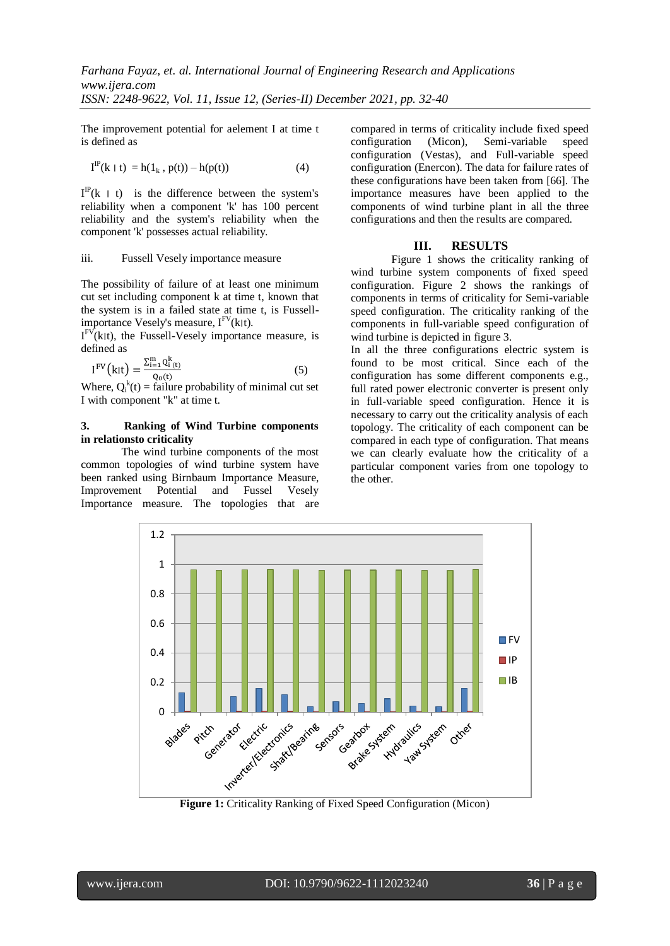The improvement potential for aelement I at time t is defined as

$$
I^{IP}(k \mid t) = h(1_k, p(t)) - h(p(t)) \tag{4}
$$

 $I^{\text{IP}}(k \mid t)$  is the difference between the system's reliability when a component 'k' has 100 percent reliability and the system's reliability when the component 'k' possesses actual reliability.

#### iii. Fussell Vesely importance measure

The possibility of failure of at least one minimum cut set including component k at time t, known that the system is in a failed state at time t, is Fussellimportance Vesely's measure,  $I^{\text{FV}}(k|t)$ .

 $I<sup>FV</sup>(k|t)$ , the Fussell-Vesely importance measure, is defined as

$$
I^{FV}(k|t) = \frac{\sum_{i=1}^{m} Q_i^{k}(t)}{Q_0(t)}
$$
(5)

Where,  $Q_i^k(t) =$  failure probability of minimal cut set I with component "k" at time t.

# **3. Ranking of Wind Turbine components in relationsto criticality**

The wind turbine components of the most common topologies of wind turbine system have been ranked using Birnbaum Importance Measure, Improvement Potential and Fussel Vesely Importance measure. The topologies that are compared in terms of criticality include fixed speed configuration (Micon), Semi-variable speed configuration (Vestas), and Full-variable speed configuration (Enercon). The data for failure rates of these configurations have been taken from [66]. The importance measures have been applied to the components of wind turbine plant in all the three configurations and then the results are compared.

# **III. RESULTS**

Figure 1 shows the criticality ranking of wind turbine system components of fixed speed configuration. Figure 2 shows the rankings of components in terms of criticality for Semi-variable speed configuration. The criticality ranking of the components in full-variable speed configuration of wind turbine is depicted in figure 3.

In all the three configurations electric system is found to be most critical. Since each of the configuration has some different components e.g., full rated power electronic converter is present only in full-variable speed configuration. Hence it is necessary to carry out the criticality analysis of each topology. The criticality of each component can be compared in each type of configuration. That means we can clearly evaluate how the criticality of a particular component varies from one topology to the other.

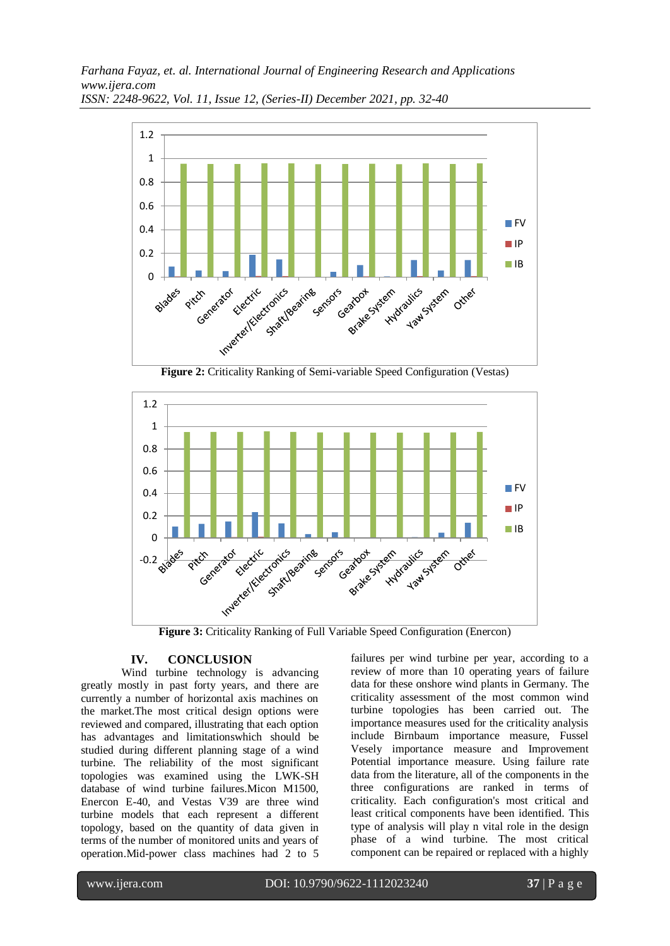*Farhana Fayaz, et. al. International Journal of Engineering Research and Applications www.ijera.com*



*ISSN: 2248-9622, Vol. 11, Issue 12, (Series-II) December 2021, pp. 32-40*



# **IV. CONCLUSION**

Wind turbine technology is advancing greatly mostly in past forty years, and there are currently a number of horizontal axis machines on the market.The most critical design options were reviewed and compared, illustrating that each option has advantages and limitationswhich should be studied during different planning stage of a wind turbine. The reliability of the most significant topologies was examined using the LWK-SH database of wind turbine failures.Micon M1500, Enercon E-40, and Vestas V39 are three wind turbine models that each represent a different topology, based on the quantity of data given in terms of the number of monitored units and years of operation.Mid-power class machines had 2 to 5 failures per wind turbine per year, according to a review of more than 10 operating years of failure data for these onshore wind plants in Germany. The criticality assessment of the most common wind turbine topologies has been carried out. The importance measures used for the criticality analysis include Birnbaum importance measure, Fussel Vesely importance measure and Improvement Potential importance measure. Using failure rate data from the literature, all of the components in the three configurations are ranked in terms of criticality. Each configuration's most critical and least critical components have been identified. This type of analysis will play n vital role in the design phase of a wind turbine. The most critical component can be repaired or replaced with a highly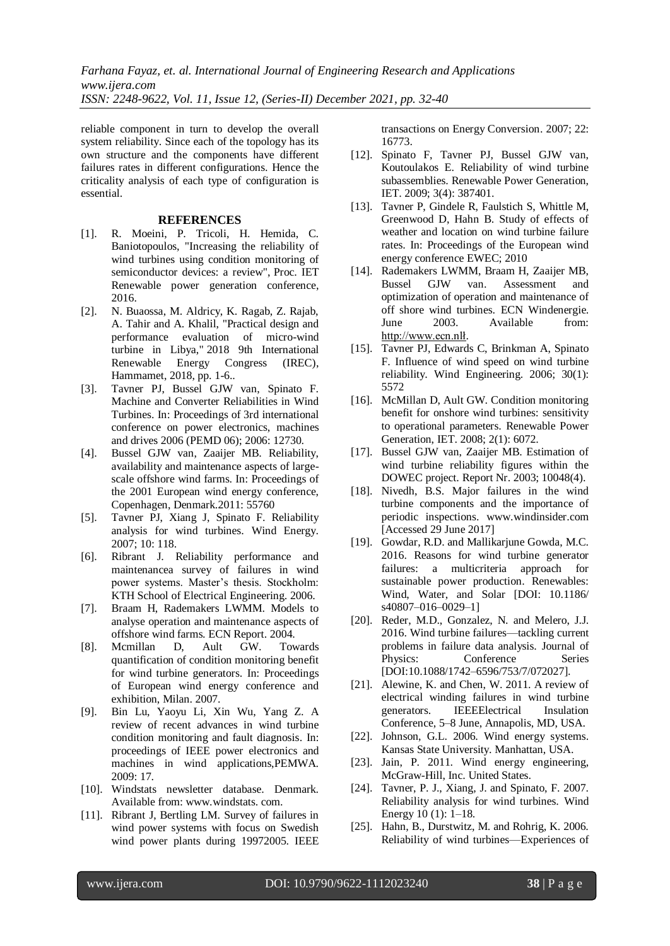reliable component in turn to develop the overall system reliability. Since each of the topology has its own structure and the components have different failures rates in different configurations. Hence the criticality analysis of each type of configuration is essential.

#### **REFERENCES**

- [1]. R. Moeini, P. Tricoli, H. Hemida, C. Baniotopoulos, "Increasing the reliability of wind turbines using condition monitoring of semiconductor devices: a review", Proc. IET Renewable power generation conference, 2016.
- [2]. N. Buaossa, M. Aldricy, K. Ragab, Z. Rajab, A. Tahir and A. Khalil, "Practical design and performance evaluation of micro-wind turbine in Libya," 2018 9th International Renewable Energy Congress (IREC), Hammamet, 2018, pp. 1-6..
- [3]. Tavner PJ, Bussel GJW van, Spinato F. Machine and Converter Reliabilities in Wind Turbines. In: Proceedings of 3rd international conference on power electronics, machines and drives 2006 (PEMD 06); 2006: 12730.
- [4]. Bussel GJW van, Zaaijer MB. Reliability, availability and maintenance aspects of largescale offshore wind farms. In: Proceedings of the 2001 European wind energy conference, Copenhagen, Denmark.2011: 55760
- [5]. Tavner PJ, Xiang J, Spinato F. Reliability analysis for wind turbines. Wind Energy. 2007; 10: 118.
- [6]. Ribrant J. Reliability performance and maintenancea survey of failures in wind power systems. Master's thesis. Stockholm: KTH School of Electrical Engineering. 2006.
- [7]. Braam H, Rademakers LWMM. Models to analyse operation and maintenance aspects of offshore wind farms. ECN Report. 2004.
- [8]. Mcmillan D, Ault GW. Towards quantification of condition monitoring benefit for wind turbine generators. In: Proceedings of European wind energy conference and exhibition, Milan. 2007.
- [9]. Bin Lu, Yaoyu Li, Xin Wu, Yang Z. A review of recent advances in wind turbine condition monitoring and fault diagnosis. In: proceedings of IEEE power electronics and machines in wind applications,PEMWA. 2009: 17.
- [10]. Windstats newsletter database. Denmark. Available from: www.windstats. com.
- [11]. Ribrant J, Bertling LM. Survey of failures in wind power systems with focus on Swedish wind power plants during 19972005. IEEE

transactions on Energy Conversion. 2007; 22: 16773.

- [12]. Spinato F, Tavner PJ, Bussel GJW van, Koutoulakos E. Reliability of wind turbine subassemblies. Renewable Power Generation, IET. 2009; 3(4): 387401.
- [13]. Tavner P, Gindele R, Faulstich S, Whittle M, Greenwood D, Hahn B. Study of effects of weather and location on wind turbine failure rates. In: Proceedings of the European wind energy conference EWEC; 2010
- [14]. Rademakers LWMM, Braam H, Zaaijer MB, Bussel GJW van. Assessment and optimization of operation and maintenance of off shore wind turbines. ECN Windenergie. June 2003. Available from: [http://www.ecn.nlł.](http://www.ecn.nlł/)
- [15]. Tavner PJ, Edwards C, Brinkman A, Spinato F. Influence of wind speed on wind turbine reliability. Wind Engineering. 2006; 30(1): 5572
- [16]. McMillan D, Ault GW. Condition monitoring benefit for onshore wind turbines: sensitivity to operational parameters. Renewable Power Generation, IET. 2008; 2(1): 6072.
- [17]. Bussel GJW van, Zaaijer MB. Estimation of wind turbine reliability figures within the DOWEC project. Report Nr. 2003; 10048(4).
- [18]. Nivedh, B.S. Major failures in the wind turbine components and the importance of periodic inspections. www.windinsider.com [Accessed 29 June 2017]
- [19]. Gowdar, R.D. and Mallikarjune Gowda, M.C. 2016. Reasons for wind turbine generator failures: a multicriteria approach for sustainable power production. Renewables: Wind, Water, and Solar [DOI: 10.1186/ s40807–016–0029–1]
- [20]. Reder, M.D., Gonzalez, N. and Melero, J.J. 2016. Wind turbine failures—tackling current problems in failure data analysis. Journal of Physics: Conference Series [DOI:10.1088/1742–6596/753/7/072027].
- [21]. Alewine, K. and Chen, W. 2011. A review of electrical winding failures in wind turbine generators. IEEEElectrical Insulation Conference, 5–8 June, Annapolis, MD, USA.
- [22]. Johnson, G.L. 2006. Wind energy systems. Kansas State University. Manhattan, USA.
- [23]. Jain, P. 2011. Wind energy engineering, McGraw-Hill, Inc. United States.
- [24]. Tavner, P. J., Xiang, J. and Spinato, F. 2007. Reliability analysis for wind turbines. Wind Energy 10 (1): 1–18.
- [25]. Hahn, B., Durstwitz, M. and Rohrig, K. 2006. Reliability of wind turbines—Experiences of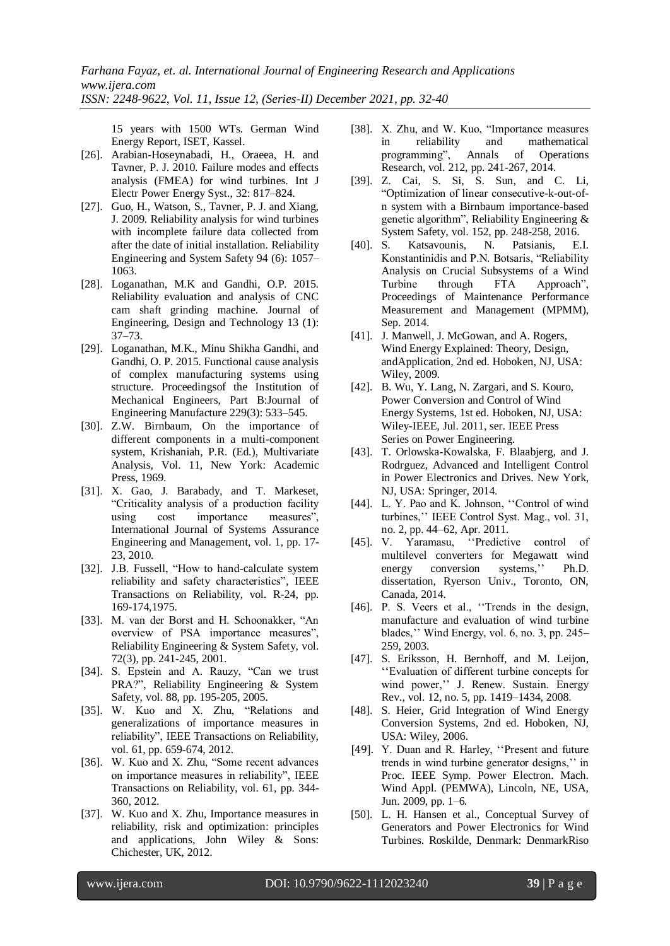15 years with 1500 WTs. German Wind Energy Report, ISET, Kassel.

- [26]. Arabian-Hoseynabadi, H., Oraeea, H. and Tavner, P. J. 2010. Failure modes and effects analysis (FMEA) for wind turbines. Int J Electr Power Energy Syst., 32: 817–824.
- [27]. Guo, H., Watson, S., Tavner, P. J. and Xiang, J. 2009. Reliability analysis for wind turbines with incomplete failure data collected from after the date of initial installation. Reliability Engineering and System Safety 94 (6): 1057– 1063.
- [28]. Loganathan, M.K and Gandhi, O.P. 2015. Reliability evaluation and analysis of CNC cam shaft grinding machine. Journal of Engineering, Design and Technology 13 (1): 37–73.
- [29]. Loganathan, M.K., Minu Shikha Gandhi, and Gandhi, O. P. 2015. Functional cause analysis of complex manufacturing systems using structure. Proceedingsof the Institution of Mechanical Engineers, Part B:Journal of Engineering Manufacture 229(3): 533–545.
- [30]. Z.W. Birnbaum, On the importance of different components in a multi-component system, Krishaniah, P.R. (Ed.), Multivariate Analysis, Vol. 11, New York: Academic Press, 1969.
- [31]. X. Gao, J. Barabady, and T. Markeset, "Criticality analysis of a production facility using cost importance measures", International Journal of Systems Assurance Engineering and Management, vol. 1, pp. 17- 23, 2010.
- [32]. J.B. Fussell, "How to hand-calculate system reliability and safety characteristics", IEEE Transactions on Reliability, vol. R-24, pp. 169-174,1975.
- [33]. M. van der Borst and H. Schoonakker, "An overview of PSA importance measures", Reliability Engineering & System Safety, vol. 72(3), pp. 241-245, 2001.
- [34]. S. Epstein and A. Rauzy, "Can we trust PRA?", Reliability Engineering & System Safety, vol. 88, pp. 195-205, 2005.
- [35]. W. Kuo and X. Zhu, "Relations and generalizations of importance measures in reliability", IEEE Transactions on Reliability, vol. 61, pp. 659-674, 2012.
- [36]. W. Kuo and X. Zhu, "Some recent advances on importance measures in reliability", IEEE Transactions on Reliability, vol. 61, pp. 344- 360, 2012.
- [37]. W. Kuo and X. Zhu, Importance measures in reliability, risk and optimization: principles and applications, John Wiley & Sons: Chichester, UK, 2012.
- [38]. X. Zhu, and W. Kuo, "Importance measures in reliability and mathematical programming", Annals of Operations Research, vol. 212, pp. 241-267, 2014.
- [39]. Z. Cai, S. Si, S. Sun, and C. Li, "Optimization of linear consecutive-k-out-ofn system with a Birnbaum importance-based genetic algorithm", Reliability Engineering & System Safety, vol. 152, pp. 248-258, 2016.
- [40]. S. Katsavounis, N. Patsianis, E.I. Konstantinidis and P.N. Botsaris, "Reliability Analysis on Crucial Subsystems of a Wind Turbine through FTA Approach", Proceedings of Maintenance Performance Measurement and Management (MPMM), Sep. 2014.
- [41]. J. Manwell, J. McGowan, and A. Rogers, Wind Energy Explained: Theory, Design, andApplication, 2nd ed. Hoboken, NJ, USA: Wiley, 2009.
- [42]. B. Wu, Y. Lang, N. Zargari, and S. Kouro, Power Conversion and Control of Wind Energy Systems, 1st ed. Hoboken, NJ, USA: Wiley-IEEE, Jul. 2011, ser. IEEE Press Series on Power Engineering.
- [43]. T. Orlowska-Kowalska, F. Blaabjerg, and J. Rodrguez, Advanced and Intelligent Control in Power Electronics and Drives. New York, NJ, USA: Springer, 2014.
- [44]. L. Y. Pao and K. Johnson, "Control of wind turbines,'' IEEE Control Syst. Mag., vol. 31, no. 2, pp. 44–62, Apr. 2011.
- [45]. V. Yaramasu, "Predictive control of multilevel converters for Megawatt wind energy conversion systems,'' Ph.D. dissertation, Ryerson Univ., Toronto, ON, Canada, 2014.
- [46]. P. S. Veers et al., ''Trends in the design, manufacture and evaluation of wind turbine blades,'' Wind Energy, vol. 6, no. 3, pp. 245– 259, 2003.
- [47]. S. Eriksson, H. Bernhoff, and M. Leijon, ''Evaluation of different turbine concepts for wind power,'' J. Renew. Sustain. Energy Rev., vol. 12, no. 5, pp. 1419–1434, 2008.
- [48]. S. Heier, Grid Integration of Wind Energy Conversion Systems, 2nd ed. Hoboken, NJ, USA: Wiley, 2006.
- [49]. Y. Duan and R. Harley, ''Present and future trends in wind turbine generator designs,'' in Proc. IEEE Symp. Power Electron. Mach. Wind Appl. (PEMWA), Lincoln, NE, USA, Jun. 2009, pp. 1–6.
- [50]. L. H. Hansen et al., Conceptual Survey of Generators and Power Electronics for Wind Turbines. Roskilde, Denmark: DenmarkRiso